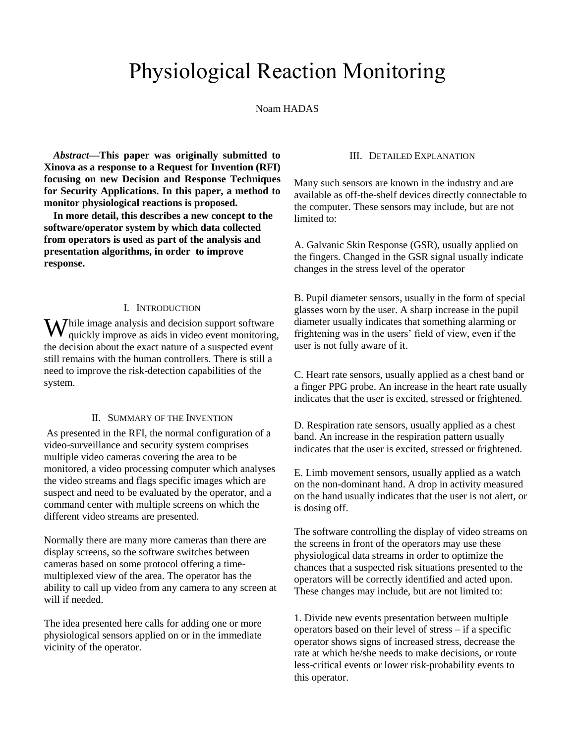# Physiological Reaction Monitoring

Noam HADAS

*Abstract***—This paper was originally submitted to Xinova as a response to a Request for Invention (RFI) focusing on new Decision and Response Techniques for Security Applications. In this paper, a method to monitor physiological reactions is proposed.** 

**In more detail, this describes a new concept to the software/operator system by which data collected from operators is used as part of the analysis and presentation algorithms, in order to improve response.** 

### I. INTRODUCTION

 $\mathbf{W}$ hile image analysis and decision support software quickly improve as aids in video event monitoring quickly improve as aids in video event monitoring, the decision about the exact nature of a suspected event still remains with the human controllers. There is still a need to improve the risk-detection capabilities of the system.

#### II. SUMMARY OF THE INVENTION

As presented in the RFI, the normal configuration of a video-surveillance and security system comprises multiple video cameras covering the area to be monitored, a video processing computer which analyses the video streams and flags specific images which are suspect and need to be evaluated by the operator, and a command center with multiple screens on which the different video streams are presented.

Normally there are many more cameras than there are display screens, so the software switches between cameras based on some protocol offering a timemultiplexed view of the area. The operator has the ability to call up video from any camera to any screen at will if needed.

The idea presented here calls for adding one or more physiological sensors applied on or in the immediate vicinity of the operator.

# III. DETAILED EXPLANATION

Many such sensors are known in the industry and are available as off-the-shelf devices directly connectable to the computer. These sensors may include, but are not limited to:

A. Galvanic Skin Response (GSR), usually applied on the fingers. Changed in the GSR signal usually indicate changes in the stress level of the operator

B. Pupil diameter sensors, usually in the form of special glasses worn by the user. A sharp increase in the pupil diameter usually indicates that something alarming or frightening was in the users' field of view, even if the user is not fully aware of it.

C. Heart rate sensors, usually applied as a chest band or a finger PPG probe. An increase in the heart rate usually indicates that the user is excited, stressed or frightened.

D. Respiration rate sensors, usually applied as a chest band. An increase in the respiration pattern usually indicates that the user is excited, stressed or frightened.

E. Limb movement sensors, usually applied as a watch on the non-dominant hand. A drop in activity measured on the hand usually indicates that the user is not alert, or is dosing off.

The software controlling the display of video streams on the screens in front of the operators may use these physiological data streams in order to optimize the chances that a suspected risk situations presented to the operators will be correctly identified and acted upon. These changes may include, but are not limited to:

1. Divide new events presentation between multiple operators based on their level of stress – if a specific operator shows signs of increased stress, decrease the rate at which he/she needs to make decisions, or route less-critical events or lower risk-probability events to this operator.